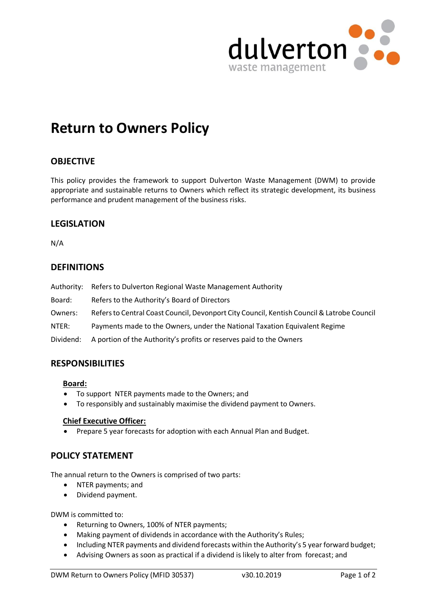

# **Return to Owners Policy**

# **OBJECTIVE**

This policy provides the framework to support Dulverton Waste Management (DWM) to provide appropriate and sustainable returns to Owners which reflect its strategic development, its business performance and prudent management of the business risks.

# **LEGISLATION**

N/A

# **DEFINITIONS**

| Authority: | Refers to Dulverton Regional Waste Management Authority                                    |
|------------|--------------------------------------------------------------------------------------------|
| Board:     | Refers to the Authority's Board of Directors                                               |
| Owners:    | Refers to Central Coast Council, Devonport City Council, Kentish Council & Latrobe Council |
| NTER:      | Payments made to the Owners, under the National Taxation Equivalent Regime                 |
| Dividend:  | A portion of the Authority's profits or reserves paid to the Owners                        |

# **RESPONSIBILITIES**

#### **Board:**

- ∂ To support NTER payments made to the Owners; and
- ∂ To responsibly and sustainably maximise the dividend payment to Owners.

#### **Chief Executive Officer:**

● Prepare 5 year forecasts for adoption with each Annual Plan and Budget.

## **POLICY STATEMENT**

The annual return to the Owners is comprised of two parts:

- ∂ NTER payments; and
- ∂ Dividend payment.

DWM is committed to:

- ∂ Returning to Owners, 100% of NTER payments;
- Making payment of dividends in accordance with the Authority's Rules;
- Including NTER payments and dividend forecasts within the Authority's 5 year forward budget;
- Advising Owners as soon as practical if a dividend is likely to alter from forecast; and